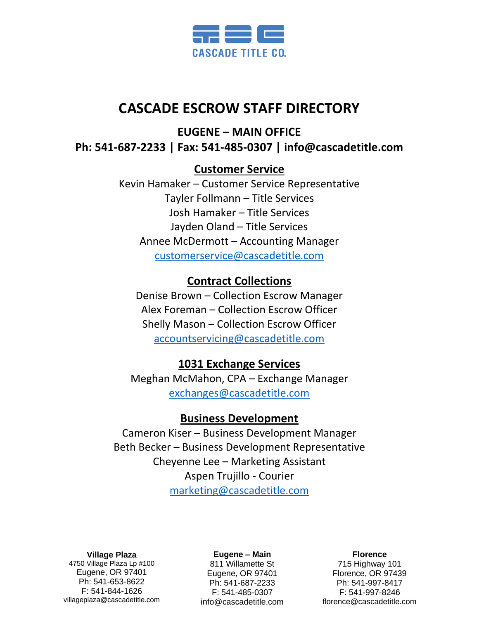

# **CASCADE ESCROW STAFF DIRECTORY**

**EUGENE – MAIN OFFICE**

**Ph: 541-687-2233 | Fax: 541-485-0307 | info@cascadetitle.com** 

## **Customer Service**

Kevin Hamaker – Customer Service Representative Tayler Follmann – Title Services Josh Hamaker – Title Services Jayden Oland – Title Services Annee McDermott – Accounting Manager [customerservice@cascadetitle.com](mailto:customerservice@cascadetitle.com)

## **Contract Collections**

Denise Brown – Collection Escrow Manager Alex Foreman – Collection Escrow Officer Shelly Mason – Collection Escrow Officer [accountservicing@cascadetitle.com](mailto:accountservicing@cascadetitle.com)

## **1031 Exchange Services**

Meghan McMahon, CPA – Exchange Manager [exchanges@cascadetitle.com](mailto:exchanges@cascadetitle.com)

## **Business Development**

Cameron Kiser – Business Development Manager Beth Becker – Business Development Representative Cheyenne Lee – Marketing Assistant Aspen Trujillo - Courier [marketing@cascadetitle.com](mailto:marketing@cascadetitle.com)

**Village Plaza**

4750 Village Plaza Lp #100 Eugene, OR 97401 Ph: 541-653-8622 F: 541-844-1626 villageplaza@cascadetitle.com

### **Eugene – Main**

811 Willamette St Eugene, OR 97401 Ph: 541-687-2233 F: 541-485-0307 info@cascadetitle.com

### **Florence**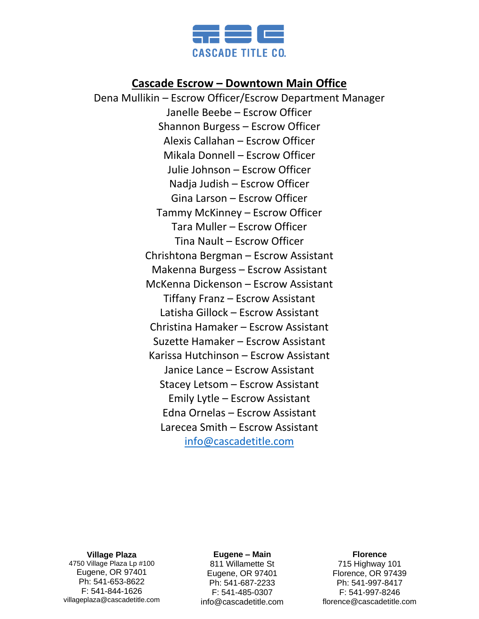

## **Cascade Escrow – Downtown Main Office**

Dena Mullikin – Escrow Officer/Escrow Department Manager Janelle Beebe – Escrow Officer Shannon Burgess – Escrow Officer Alexis Callahan – Escrow Officer Mikala Donnell – Escrow Officer Julie Johnson – Escrow Officer Nadja Judish – Escrow Officer Gina Larson – Escrow Officer Tammy McKinney – Escrow Officer Tara Muller – Escrow Officer Tina Nault – Escrow Officer Chrishtona Bergman – Escrow Assistant Makenna Burgess – Escrow Assistant McKenna Dickenson – Escrow Assistant Tiffany Franz – Escrow Assistant Latisha Gillock – Escrow Assistant Christina Hamaker – Escrow Assistant Suzette Hamaker – Escrow Assistant Karissa Hutchinson – Escrow Assistant Janice Lance – Escrow Assistant Stacey Letsom – Escrow Assistant Emily Lytle – Escrow Assistant Edna Ornelas – Escrow Assistant Larecea Smith – Escrow Assistant [info@cascadetitle.com](mailto:info@cascadetitle.com)

**Village Plaza**

4750 Village Plaza Lp #100 Eugene, OR 97401 Ph: 541-653-8622 F: 541-844-1626 villageplaza@cascadetitle.com

#### **Eugene – Main**

811 Willamette St Eugene, OR 97401 Ph: 541-687-2233 F: 541-485-0307 info@cascadetitle.com

#### **Florence**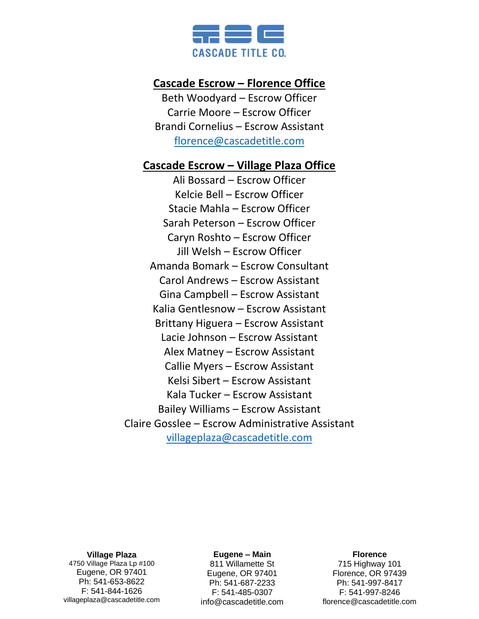

## **Cascade Escrow – Florence Office**

Beth Woodyard – Escrow Officer Carrie Moore – Escrow Officer Brandi Cornelius – Escrow Assistant [florence@cascadetitle.com](mailto:florence@cascadetitle.com)

## **Cascade Escrow – Village Plaza Office**

Ali Bossard – Escrow Officer Kelcie Bell – Escrow Officer Stacie Mahla – Escrow Officer Sarah Peterson – Escrow Officer Caryn Roshto – Escrow Officer Jill Welsh – Escrow Officer Amanda Bomark – Escrow Consultant Carol Andrews – Escrow Assistant Gina Campbell – Escrow Assistant Kalia Gentlesnow – Escrow Assistant Brittany Higuera – Escrow Assistant Lacie Johnson – Escrow Assistant Alex Matney – Escrow Assistant Callie Myers – Escrow Assistant Kelsi Sibert – Escrow Assistant Kala Tucker – Escrow Assistant Bailey Williams – Escrow Assistant Claire Gosslee – Escrow Administrative Assistant [villageplaza@cascadetitle.com](mailto:villageplazateam@cascadetitle.com)

**Village Plaza**

4750 Village Plaza Lp #100 Eugene, OR 97401 Ph: 541-653-8622 F: 541-844-1626 villageplaza@cascadetitle.com

#### **Eugene – Main**

811 Willamette St Eugene, OR 97401 Ph: 541-687-2233 F: 541-485-0307 info@cascadetitle.com

#### **Florence**